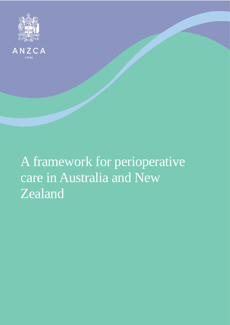



# A framework for perioperative care in Australia and New Zealand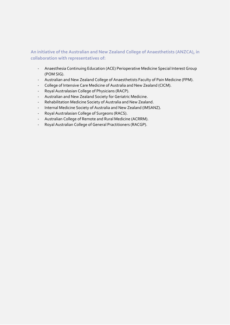# **An initiative of the Australian and New Zealand College of Anaesthetists (ANZCA), in collaboration with representatives of:**

- Anaesthesia Continuing Education (ACE) Perioperative Medicine Special Interest Group (POM SIG).
- Australian and New Zealand College of Anaesthetists Faculty of Pain Medicine (FPM).
- College of Intensive Care Medicine of Australia and New Zealand (CICM).
- Royal Australasian College of Physicians (RACP).
- Australian and New Zealand Society for Geriatric Medicine.
- Rehabilitation Medicine Society of Australia and New Zealand.
- Internal Medicine Society of Australia and New Zealand (IMSANZ).
- Royal Australasian College of Surgeons (RACS).
- Australian College of Remote and Rural Medicine (ACRRM).
- Royal Australian College of General Practitioners (RACGP).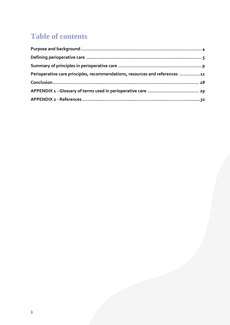# **Table of contents**

| Perioperative care principles, recommendations, resources and references 11 |  |
|-----------------------------------------------------------------------------|--|
|                                                                             |  |
|                                                                             |  |
|                                                                             |  |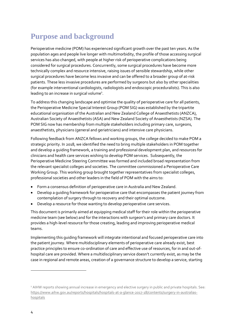# <span id="page-3-0"></span>**Purpose and background**

Perioperative medicine (POM) has experienced significant growth over the past ten years. As the population ages and people live longer with multimorbidity, the profile of those accessing surgical services has also changed, with people at higher risk of perioperative complications being considered for surgical procedures. Concurrently, some surgical procedures have become more technically complex and resource intensive, raising issues of sensible stewardship, while other surgical procedures have become less invasive and can be offered to a broader group of at-risk patients. These less invasive procedures are performed by surgeons but also by other specialities (for example interventional cardiologists, radiologists and endoscopic proceduralists). This is also leading to an increase in surgical volume<sup>1</sup>.

To address this changing landscape and optimise the quality of perioperative care for all patients, the Perioperative Medicine Special Interest Group (POM SIG) was established by the tripartite educational organisation of the Australian and New Zealand College of Anaesthetists (ANZCA), Australian Society of Anaesthetists (ASA) and New Zealand Society of Anaesthetists (NZSA). The POM SIG now has membership from multiple stakeholders including primary care, surgeons, anaesthetists, physicians (general and geriatricians) and intensive care physicians.

Following feedback from ANZCA fellows and working groups, the college decided to make POM a strategic priority. In 2018, we identified the need to bring multiple stakeholders in POM together and develop a guiding framework, a training and professional development plan, and resources for clinicians and health care services wishing to develop POM services. Subsequently, the Perioperative Medicine Steering Committee was formed and included broad representation from the relevant specialist colleges and societies. The committee commissioned a Perioperative Care Working Group. This working group brought together representatives from specialist colleges, professional societies and other leaders in the field of POM with the aims to:

- Form a consensus definition of perioperative care in Australia and New Zealand.
- Develop a guiding framework for perioperative care that encompasses the patient journey from contemplation of surgery through to recovery and their optimal outcome.
- Develop a resource for those wanting to develop perioperative care services.

This document is primarily aimed at equipping medical staff for their role within the perioperative medicine team (see below) and for the interactions with surgeon's and primary care doctors. It provides a high-level resource for those creating, leading and improving perioperative medical teams.

Implementing this guiding framework will integrate intentional and focused perioperative care into the patient journey. Where multidisciplinary elements of perioperative care already exist, best practice principles to ensure co-ordination of care and effective use of resources, for in and out-ofhospital care are provided. Where a multidisciplinary service doesn't currently exist, as may be the case in regional and remote areas, creation of a governance structure to develop a service, starting

 $\overline{a}$ 

<sup>&</sup>lt;sup>1</sup> AIHW reports showing annual increase in emergency and elective surgery in public and private hospitals. See: [https://www.aihw.gov.au/reports/hospitals/hospitals-at-a-glance-2017-18/contents/surgery-in-australias](https://www.aihw.gov.au/reports/hospitals/hospitals-at-a-glance-2017-18/contents/surgery-in-australias-hospitals)[hospitals](https://www.aihw.gov.au/reports/hospitals/hospitals-at-a-glance-2017-18/contents/surgery-in-australias-hospitals)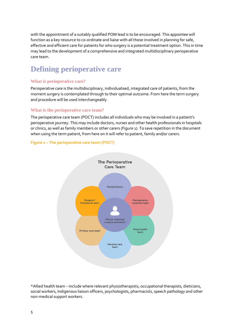with the appointment of a suitably qualified POM lead is to be encouraged. This appointee will function as a key resource to co-ordinate and liaise with all those involved in planning for safe, effective and efficient care for patients for who surgery is a potential treatment option. This in time may lead to the development of a comprehensive and integrated multidisciplinary perioperative care team.

# <span id="page-4-0"></span>**Defining perioperative care**

# **What is perioperative care?**

Perioperative care is the multidisciplinary, individualised, integrated care of patients, from the moment surgery is contemplated through to their optimal outcome. From here the term surgery and procedure will be used interchangeably.

# **What is the perioperative care team?**

The perioperative care team (POCT) includes all individuals who may be involved in a patient's perioperative journey. This may include doctors, nurses and other health professionals in hospitals or clinics, as well as family members or other carers (Figure 1). To save repetition in the document when using the term patient, from here on it will refer to patient, family and/or carers.

# **Figure 1 – The perioperative care team (POCT)**



\*Allied health team – include where relevant physiotherapists, occupational therapists, dieticians, social workers, Indigenous liaison officers, psychologists, pharmacists, speech pathology and other non-medical support workers.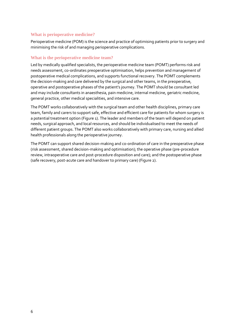## **What is perioperative medicine?**

Perioperative medicine (POM) is the science and practice of optimising patients prior to surgery and minimising the risk of and managing perioperative complications.

### **What is the perioperative medicine team?**

Led by medically qualified specialists, the perioperative medicine team (POMT) performs risk and needs assessment, co-ordinates preoperative optimisation, helps prevention and management of postoperative medical complications, and supports functional recovery. The POMT complements the decision-making and care delivered by the surgical and other teams, in the preoperative, operative and postoperative phases of the patient's journey. The POMT should be consultant led and may include consultants in anaesthesia, pain medicine, internal medicine, geriatric medicine, general practice, other medical specialities, and intensive care.

The POMT works collaboratively with the surgical team and other health disciplines, primary care team, family and carers to support safe, effective and efficient care for patients for whom surgery is a potential treatment option (Figure 1). The leader and members of the team will depend on patient needs, surgical approach, and local resources, and should be individualised to meet the needs of different patient groups. The POMT also works collaboratively with primary care, nursing and allied health professionals along the perioperative journey.

The POMT can support shared decision-making and co-ordination of care in the preoperative phase (risk assessment, shared decision-making and optimisation); the operative phase (pre-procedure review, intraoperative care and post-procedure disposition and care); and the postoperative phase (safe recovery, post-acute care and handover to primary care) (Figure 2).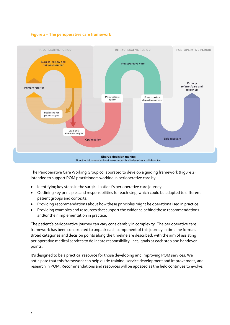



The Perioperative Care Working Group collaborated to develop a guiding framework (Figure 2) intended to support POM practitioners working in perioperative care by:

- Identifying key steps in the surgical patient's perioperative care journey.
- Outlining key principles and responsibilities for each step, which could be adapted to different patient groups and contexts.
- Providing recommendations about how these principles might be operationalised in practice.
- Providing examples and resources that support the evidence behind these recommendations and/or their implementation in practice.

The patient's perioperative journey can vary considerably in complexity. The perioperative care framework has been constructed to unpack each component of this journey in timeline format. Broad categories and decision points along the timeline are described, with the aim of assisting perioperative medical services to delineate responsibility lines, goals at each step and handover points.

<span id="page-6-0"></span>It's designed to be a practical resource for those developing and improving POM services. We anticipate that this framework can help guide training, service development and improvement, and research in POM. Recommendations and resources will be updated as the field continues to evolve.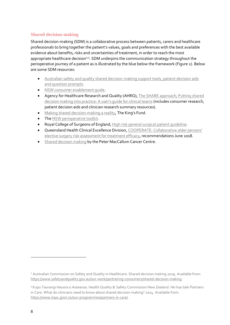# **Shared decision-making**

Shared decision-making (SDM) is a collaborative process between patients, carers and healthcare professionals to bring together the patient's values, goals and preferences with the best available evidence about benefits, risks and uncertainties of treatment, in order to reach the most appropriate healthcare decision<sup>2,3</sup>. SDM underpins the communication strategy throughout the perioperative journey of a patient as is illustrated by the blue below the framework (Figure 2). Below are some SDM resources:

- [Australian safety and quality shared decision-making support tools, patient decision aids](https://www.safetyandquality.gov.au/our-work/shared-decision-making/other-resources)  [and question prompts.](https://www.safetyandquality.gov.au/our-work/shared-decision-making/other-resources)
- NSW consumer enablement quide.
- Agency for Healthcare Research and Quality (AHRQ), The SHARE approach; Putting shared [decision making into practice: A](https://www.ahrq.gov/sites/default/files/wysiwyg/professionals/education/curriculum-tools/shareddecisionmaking/tools/tool-8/share-tool8.pdf) user's quide for clinical teams (includes consumer research, patient decision aids and clinician research summary resources).
- [Making shared decision-making a reality](https://www.kingsfund.org.uk/sites/default/files/Making-shared-decision-making-a-reality-paper-Angela-Coulter-Alf-Collins-July-2011_0.pdf), The King's Fund.
- The [NSW perioperative toolkit.](https://aci.health.nsw.gov.au/resources/anaesthesia-perioperative-care/the-perioperative-toolkit/the-perioperative-toolkit-webpage)
- Royal College of Surgeons of England[, High risk general surgical patient guideline.](https://www.rcseng.ac.uk/library-and-publications/rcs-publications/docs/the-higher-risk-general-surgical-patient/)
- Queensland Health Clinical Excellence Division[, COOPERATE: Collaborative older p](https://clinicalexcellence.qld.gov.au/improvement-exchange/cooperate)ersons' [elective surgery risk assessment for treatment efficacy,](https://clinicalexcellence.qld.gov.au/improvement-exchange/cooperate) recommendations June 2018.
- **•** Shared [decision making](https://www.petermac.org/sdm) by the Peter MacCallum Cancer Centre.

**.** 

<sup>2</sup> Australian Commission on Safety and Quality in Healthcare. Shared decision making 2019. Available from: [https://www.safetyandquality.gov.au/our-work/partnering-consumers/shared-decision-making.](https://www.safetyandquality.gov.au/our-work/partnering-consumers/shared-decision-making)

<sup>&</sup>lt;sup>3</sup> Kupu Taurangi Hauora o Aotearoa. Health Quality & Safety Commission New Zealand. He hoa tiaki Partners in Care. What do clinicians need to know about shared decision making? 2014. Available from: [https://www.hqsc.govt.nz/our-programmes/partners-in-care/.](https://www.hqsc.govt.nz/our-programmes/partners-in-care/)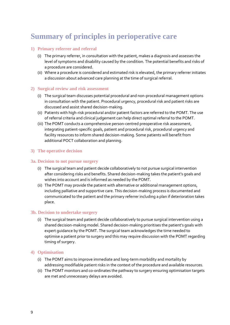# **Summary of principles in perioperative care**

# **1) Primary referrer and referral**

- (i) The primary referrer, in consultation with the patient, makes a diagnosis and assesses the level of symptoms and disability caused by the condition. The potential benefits and risks of a procedure are considered.
- (ii) Where a procedure is considered and estimated risk is elevated, the primary referrer initiates a discussion about advanced care planning at the time of surgical referral.

#### **2) Surgical review and risk assessment**

- (i) The surgical team discusses potential procedural and non-procedural management options in consultation with the patient. Procedural urgency, procedural risk and patient risks are discussed and assist shared decision-making.
- (ii) Patients with high-risk procedural and/or patient factors are referred to the POMT. The use of referral criteria and clinical judgement can help direct optimal referral to the POMT.
- (iii) The POMT conducts a comprehensive person-centred preoperative risk assessment, integrating patient-specific goals, patient and procedural risk, procedural urgency and facility resources to inform shared decision-making. Some patients will benefit from additional POCT collaboration and planning.

#### **3) The operative decision**

#### **3a. Decision to not pursue surgery**

- (i) The surgical team and patient decide collaboratively to not pursue surgical intervention after considering risks and benefits. Shared decision-making takes the patient's goals and wishes into account and is informed as needed by the POMT.
- (ii) The POMT may provide the patient with alternative or additional management options, including palliative and supportive care. This decision-making process is documented and communicated to the patient and the primary referrer including a plan if deterioration takes place.

#### **3b. Decision to undertake surgery**

(i) The surgical team and patient decide collaboratively to pursue surgical intervention using a shared decision-making model. Shared decision-making prioritises the patient's goals with expert guidance by the POMT. The surgical team acknowledges the time needed to optimise a patient prior to surgery and this may require discussion with the POMT regarding timing of surgery.

#### **4) Optimisation**

- (i) The POMT aims to improve immediate and long-term morbidity and mortality by addressing modifiable patient risks in the context of the procedure and available resources.
- (ii) The POMT monitors and co-ordinates the pathway to surgery ensuring optimisation targets are met and unnecessary delays are avoided.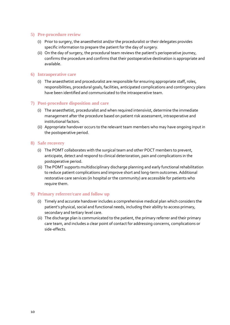# **5) Pre-procedure review**

- (i) Prior to surgery, the anaesthetist and/or the proceduralist or their delegates provides specific information to prepare the patient for the day of surgery.
- (ii) On the day of surgery, the procedural team reviews the patient's perioperative journey, confirms the procedure and confirms that their postoperative destination is appropriate and available.

#### **6) Intraoperative care**

(i) The anaesthetist and proceduralist are responsible for ensuring appropriate staff, roles, responsibilities, procedural goals, facilities, anticipated complications and contingency plans have been identified and communicated to the intraoperative team.

# **7) Post-procedure disposition and care**

- (i) The anaesthetist, proceduralist and when required intensivist, determine the immediate management after the procedure based on patient risk assessment, intraoperative and institutional factors.
- (ii) Appropriate handover occurs to the relevant team members who may have ongoing input in the postoperative period.

#### **8) Safe recovery**

- (i) The POMT collaborates with the surgical team and other POCT members to prevent, anticipate, detect and respond to clinical deterioration, pain and complications in the postoperative period.
- (ii) The POMT supports multidisciplinary discharge planning and early functional rehabilitation to reduce patient complications and improve short and long-term outcomes. Additional restorative care services (in hospital or the community) are accessible for patients who require them.

#### **9) Primary referrer/care and follow up**

- (i) Timely and accurate handover includes a comprehensive medical plan which considers the patient's physical, social and functional needs, including their ability to access primary, secondary and tertiary level care.
- <span id="page-9-0"></span>(ii) The discharge plan is communicated to the patient, the primary referrer and their primary care team, and includes a clear point of contact for addressing concerns, complications or side-effects.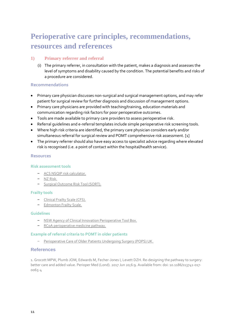# **Perioperative care principles, recommendations, resources and references**

# **1) Primary referrer and referral**

(i) The primary referrer, in consultation with the patient, makes a diagnosis and assesses the level of symptoms and disability caused by the condition. The potential benefits and risks of a procedure are considered.

### **Recommendations**

- Primary care physician discusses non-surgical and surgical management options, and may refer patient for surgical review for further diagnosis and discussion of management options.
- Primary care physicians are provided with teaching/training, education materials and communication regarding risk factors for poor perioperative outcomes.
- Tools are made available to primary care providers to assess perioperative risk.
- Referral guidelines and e-referral templates include simple perioperative risk screening tools.
- Where high risk criteria are identified, the primary care physician considers early and/or simultaneous referral for surgical review and POMT comprehensive risk assessment. [1]
- The primary referrer should also have easy access to specialist advice regarding where elevated risk is recognised (i.e. a point of contact within the hospital/health service).

#### **Resources**

#### **Risk assessment tools**

- [ACS NSQIP risk calculator.](https://riskcalculator.facs.org/RiskCalculator/)
- [NZ Risk.](https://www.nzrisk.com/)
- [Surgical Outcome Risk Tool \(SORT\).](https://www.ncepod.org.uk/sort.html)

#### **Frailty tools**

- [Clinical Frailty Scale \(CFS\).](https://www.scfn.org.uk/clinical-frailty-scale)
- [Edmonton Frailty Scale.](https://edmontonfrailscale.org/)

#### **Guidelines**

- [NSW Agency of Clinical Innovation Perioperative Tool Box.](https://www.aci.health.nsw.gov.au/__data/assets/pdf_file/0010/342685/The_Perioperative_Toolkit.pdf)
- [RCoA perioperative medicine pathway.](https://www.rcoa.ac.uk/sites/default/files/documents/2019-08/Perioperative%20Medicine%20-%20The%20Pathway%20to%20Better%20Care.pdf)

#### **Example of referral criteria to POMT in older patients**

– [Perioperative Care of Older Patients Undergoing Surgery \(POPS\) UK.](https://www.guysandstthomas.nhs.uk/resources/our-services/ageing-and-health/POPS%20referral%20criteria.pdf)

## **References**

1. Grocott MPW, Plumb JOM, Edwards M, Fecher-Jones I, Levett DZH. Re-designing the pathway to surgery: better care and added value. Perioper Med (Lond). 2017 Jun 20;6:9. Available from: doi: [10.1186/s13741-017-](https://doi.org/10.1186/s13741-017-0065-4) [0065-4](https://doi.org/10.1186/s13741-017-0065-4)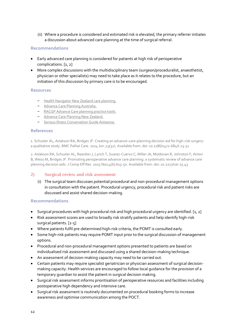(ii) Where a procedure is considered and estimated risk is elevated, the primary referrer initiates a discussion about advanced care planning at the time of surgical referral.

# **Recommendations**

- Early advanced care planning is considered for patients at high risk of perioperative complications. [1, 2]
- More complex discussions with the multidisciplinary team (surgeon/proceduralist, anaesthetist, physician or other specialists) may need to take place as it relates to the procedure, but an initiation of this discussion by primary care is to be encouraged.

#### **Resources**

- [Health Navigator New Zealand care planning.](https://www.healthnavigator.org.nz/clinicians/c/care-planning/)
- [Advance Care Planning Australia.](https://www.advancecareplanning.org.au/)
- [RACGP Advance Care planning practice tools.](https://www.racgp.org.au/running-a-practice/practice-resources/practice-tools/advance-care-planning)
- Advance [Care Planning New Zealand.](https://www.hqsc.govt.nz/our-programmes/advance-care-planning/)
- [Serious Illness Conversation Guide Aotearoa.](https://www.hqsc.govt.nz/our-programmes/advance-care-planning/publications-and-resources/publication/3950)

#### **References**

1. Schuster AL, Aslakson RA, Bridges JF. Creating an advance-care-planning decision aid for high-risk surgery: a qualitative study. BMC Palliat Care. 2014 Jun ;13(32). Available from: doi: 10.1186/1472-684X-13-32

2. Aslakson RA, Schuster AL, Reardon J, Lynch T, Suarez-Cuervo C, Miller JA, Moldovan R, Johnston F, Anton B, Weiss M, Bridges JF. Promoting perioperative advance care planning: a systematic review of advance care planning decision aids. J Comp Eff Res. 2015 Nov;4(6):615-50. Available from: [doi: 10.2217/cer.15.43](https://doi.org/10.2217/cer.15.43)

#### **2) Surgical review and risk assessment**

(i) The surgical team discusses potential procedural and non-procedural management options in consultation with the patient. Procedural urgency, procedural risk and patient risks are discussed and assist shared decision-making.

- Surgical procedures with high procedural risk and high procedural urgency are identified. [1, 2]
- Risk assessment scores are used to broadly risk stratify patients and help identify high-risk surgical patients. [2-5]
- Where patients fulfil pre-determined high-risk criteria, the POMT is consulted early.
- Some high-risk patients may require POMT input prior to the surgical discussion of management options.
- Procedural and non-procedural management options presented to patients are based on individualised risk assessment and discussed using a shared decision-making technique.
- An assessment of decision-making capacity may need to be carried out.
- Certain patients may require specialist geriatrician or physician assessment of surgical decisionmaking capacity. Health services are encouraged to follow local guidance for the provision of a temporary guardian to assist the patient in surgical decision making.
- Surgical risk assessment informs prioritisation of perioperative resources and facilities including postoperative high dependency and intensive care.
- Surgical risk assessment is routinely documented on procedural booking forms to increase awareness and optimise communication among the POCT.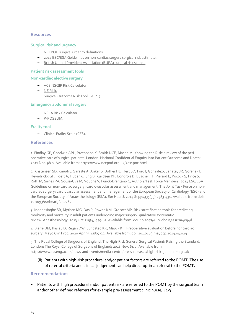### **Surgical risk and urgency**

- [NCEPOD surgical urgency definitions.](http://www.ncepod.org.uk/classification.html)
- [2014 ESC/ESA Guidelines on non-cardiac surgery surgical risk estimate.](https://academic.oup.com/view-large/89335578)
- [British United Provident Association \(BUPA\) surgical risk scores.](https://www.evidencio.com/models/show/1013)

#### **Patient risk assessment tools**

#### **Non-cardiac elective surgery**

- [ACS NSQIP Risk Calculator.](https://riskcalculator.facs.org/RiskCalculator/)
- [NZ Risk.](https://www.nzrisk.com/)
- [Surgical Outcome Risk Tool \(SORT\).](https://www.ncepod.org.uk/sort.html)

#### **Emergency abdominal surgery**

- [NELA Risk Calculator.](https://data.nela.org.uk/riskcalculator/)
- [P-POSSUM.](http://www.riskprediction.org.uk/index-pp.php)

#### **Frailty tool**

– [Clinical Frailty Scale \(CFS\).](https://www.scfn.org.uk/clinical-frailty-scale)

#### **References**

1. Findlay GP, Goodwin APL, Protopapa K, Smith NCE, Mason M. Knowing the Risk: a review of the perioperative care of surgical patients. London: National Confidential Enquiry into Patient Outcome and Death; 2011 Dec. 98 p. Available from: https://www.ncepod.org.uk/2011poc.html

2. Kristensen SD, Knuuti J, Saraste A, Anker S, Bøtker HE, Hert SD, Ford I, Gonzalez-Juanatey JR, Gorenek B, Heyndrickx GF, Hoeft A, Huber K, Iung B, Kjeldsen KP, Longrois D, Lüscher TF, Pierard L, Pocock S, Price S, Roffi M, Sirnes PA, Sousa-Uva M, Voudris V, Funck-Brentano C; Authors/Task Force Members. 2014 ESC/ESA Guidelines on non-cardiac surgery: cardiovascular assessment and management. The Joint Task Force on noncardiac surgery: cardiovascular assessment and management of the European Society of Cardiology (ESC) and the European Society of Anaesthesiology (ESA). Eur Hear J. 2014 Sep;14;35(35):2383-431. Available from: doi: 10.1093/eurheartj/ehu282

3. Moonesinghe SR, Mythen MG, Das P, Rowan KM, Grocott MP. Risk stratification tools for predicting morbidity and mortality in adult patients undergoing major surgery: qualitative systematic review. Anesthesiology. 2013 Oct;119(4):959-81. Available from: doi[: 10.1097/ALN.0b013e3182a4e94d](https://doi.org/10.1097/ALN.0b013e3182a4e94d)

4. Bierle DM, Raslau D, Regan DW, Sundsted KK, Mauck KF. Preoperative evaluation before noncardiac surgery. Mayo Clin Proc. 2020 Apr;95(4)807-22. Available from: doi[: 10.1016/j.mayocp.2019.04.029](https://doi.org/10.1016/j.mayocp.2019.04.029)

5. The Royal College of Surgeons of England. The High-Risk General Surgical Patient: Raising the Standard. London: The Royal College of Surgeons of England; 2018 Nov. 64 p. Available from: https://www.rcseng.ac.uk/news-and-events/media-centre/press-releases/high-risk-general-surgical/

(ii) Patients with high-risk procedural and/or patient factors are referred to the POMT. The use of referral criteria and clinical judgement can help direct optimal referral to the POMT**.**

#### **Recommendations**

 Patients with high procedural and/or patient risk are referred to the POMT by the surgical team and/or other defined referrers (for example pre-assessment clinic nurse). [1-3]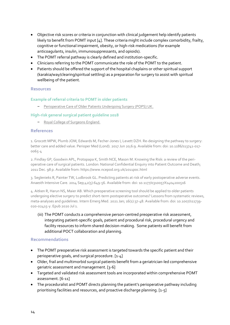- Objective risk scores or criteria in conjunction with clinical judgement help identify patients likely to benefit from POMT input [4]. These criteria might include complex comorbidity, frailty, cognitive or functional impairment, obesity, or high-risk medications (for example anticoagulants, insulin, immunosuppressants, and opioids).
- The POMT referral pathway is clearly defined and institution-specific.
- Clinicians referring to the POMT communicate the role of the POMT to the patient.
- Patients should be offered the support of the hospital chaplains or other spiritual support (karakia/way/clearing/spiritual settling) as a preparation for surgery to assist with spiritual wellbeing of the patient.

#### **Example of referral criteria to POMT in older patients**

– [Perioperative Care of Older Patients Undergoing Surgery \(POPS\) UK.](https://www.guysandstthomas.nhs.uk/resources/our-services/ageing-and-health/POPS%20referral%20criteria.pdf)

#### **High-risk general surgical patient guideline 2018**

– [Royal College of Surgeons England.](https://www.rcseng.ac.uk/-/media/files/rcs/news-and-events/media-centre/2018-press-releases-documents/rcs-report-the-highrisk-general-surgical-patient--raising-the-standard--december-2018.pdf)

#### **References**

1. Grocott MPW, Plumb JOM, Edwards M, Fecher-Jones I, Levett DZH. Re-designing the pathway to surgery: better care and added value. Perioper Med (Lond). 2017 Jun 20;6:9. Available from: doi: 10.1186/s13741-017- 0065-4

2. Findlay GP, Goodwin APL, Protopapa K, Smith NCE, Mason M. Knowing the Risk: a review of the perioperative care of surgical patients. London: National Confidential Enquiry into Patient Outcome and Death; 2011 Dec. 98 p. Available from: https://www.ncepod.org.uk/2011poc.html

3. Seglenieks R, Painter TW, Ludbrook GL. Predicting patients at risk of early postoperative adverse events. Anaesth Intensive Care. 2014 Sep;42(5):649-56. Available from: doi: 10.1177/0310057X1404200516

4. Aitken R, Harun NS, Maier AB. Which preoperative screening tool should be applied to older patients undergoing elective surgery to predict short-term postoperative outcomes? Lessons from systematic reviews, meta-analyses and guidelines. Intern Emerg Med. 2021 Jan; 16(1):37-48. Available from: doi: 10.1007/s11739- 020-02415-y. Epub 2020 Jul 1.

(iii) The POMT conducts a comprehensive person-centred preoperative risk assessment, integrating patient-specific goals, patient and procedural risk, procedural urgency and facility resources to inform shared decision-making. Some patients will benefit from additional POCT collaboration and planning.

- The POMT preoperative risk assessment is targeted towards the specific patient and their perioperative goals, and surgical procedure. [1-4]
- Older, frail and multimorbid surgical patients benefit from a geriatrician-led comprehensive geriatric assessment and management. [3-6]
- Targeted and validated risk assessment tools are incorporated within comprehensive POMT assessment. [6-11]
- The proceduralist and POMT directs planning the patient's perioperative pathway including prioritising facilities and resources, and proactive discharge planning. [1-5]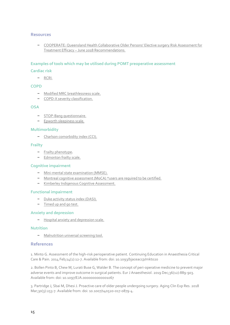– [COOPERATE: Queensland Health Collaborative Older Persons' Elective surgery Risk Assessment for](https://clinicalexcellence.qld.gov.au/sites/default/files/2018-08/cooperate-project-final-report.pdf)  Treatment Efficacy – [June 2018 Recommendations.](https://clinicalexcellence.qld.gov.au/sites/default/files/2018-08/cooperate-project-final-report.pdf)

#### **Examples of tools which may be utilised during POMT preoperative assessment**

#### **Cardiac risk**

– [RCRI.](https://www.mdcalc.com/revised-cardiac-risk-index-pre-operative-risk)

#### **COPD**

- [Modified MRC breathlessness scale.](https://copdx.org.au/copd-x-plan/confirm-diagnosis/c2-diagnosis/)
- [COPD-X severity classification.](https://lungfoundation.com.au/resources/stepwise-management-of-stable-copd/)

#### **OSA**

- [STOP-Bang questionnaire.](http://www.stopbang.ca/osa/screening.php)
- [Epworth sleepiness scale.](https://epworthsleepinessscale.com/about-the-ess/)

#### **Multimorbidity**

– [Charlson comorbidity index \(CCI\).](https://www.mdcalc.com/charlson-comorbidity-index-cci)

#### **Frailty**

- [Frailty phenotype.](https://docs.wixstatic.com/ugd/2a1cfa_60518c36d3c04ddc9960aae463461841.pdf)
- [Edmonton frailty scale.](https://edmontonfrailscale.org/)

#### **Cognitive impairment**

- [Mini-mental state examination \(MMSE\).](https://www.ihpa.gov.au/sites/default/files/publications/smmse-tool-v2.pdf)
- [Montreal cognitive assessment \(MoCA\) \\*users are required](https://www.parkinsons.va.gov/resources/MOCA-Test-English.pdf) to be certified.
- [Kimberley Indigenous Cognitive Assessment.](http://kams.org.au/wp-content/uploads/2015/04/KICA-Tool-2006.pdf)

#### **Functional impairment**

- [Duke activity status index \(DASI\).](https://www.mdcalc.com/duke-activity-status-index-dasi)
- [Timed up and go test.](https://www.health.qld.gov.au/__data/assets/pdf_file/0028/675109/d-mt05.pdf)

#### **Anxiety and depression**

– [Hospital anxiety and depression scale.](https://www.svri.org/sites/default/files/attachments/2016-01-13/HADS.pdf)

#### **Nutrition**

– [Malnutrition universal screening tool.](https://www.wales.nhs.uk/documents/MUST%20Nutritional%20Screen.pdf)

#### **References**

1. Minto G. Assessment of the high-risk perioperative patient. Continuing Education in Anaesthesia Critical Care & Pain. 2014 Feb;14(1):12-7. Available from: doi: 10.1093/bjaceaccp/mkt020

2. Bollen Pinto B, Chew M, Lurati Buse G, Walder B. The concept of peri-operative medicine to prevent major adverse events and improve outcome in surgical patients. Eur J Anaesthesiol. 2019 Dec;36(12):889-903. Available from: doi: 10.1097/EJA.0000000000001067

3. Partridge J, Sbai M, Dhesi J. Proactive care of older people undergoing surgery. Aging Clin Exp Res. 2018 Mar;30(3):253-7. Available from: doi: 10.1007/s40520-017-0879-4.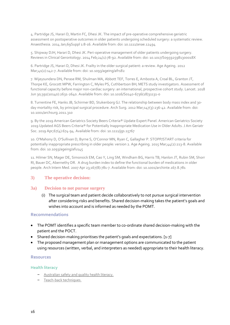4. Partridge JS, Harari D, Martin FC, Dhesi JK. The impact of pre-operative comprehensive geriatric assessment on postoperative outcomes in older patients undergoing scheduled surgery: a systematic review. Anaesthesia. 2014 Jan;69Suppl 1:8-16. Available from: doi: 10.1111/anae.12494

5. Shipway DJH, Harari D, Dhesi JK. Peri-operative management of older patients undergoing surgery. Reviews in Clinical Gerontology. 2014 Feb;24(1):78-92. Available from: doi: 10.1017/S095925981300018X

6. Partridge JS, Harari D, Dhesi JK. Frailty in the older surgical patient: a review. Age Ageing. 2012 Mar;41(2):142-7. Available from: doi: 10.1093/ageing/afr182

7. Wijeysundera DN, Perase RM, Shulman MA, Abbott TEF, Torres E, Ambosta A, Croal BL, Granton JT, Thorpe KE, Grocott MPW, Farrington C, Myles PS, Cuthbertson BH; METS study investigators. Assessment of functional capacity before major non-cardiac surgery: an international, prospective cohort study. Lancet. 2018 Jun 30;391(10140):2631-2640. Available from: doi: 10.1016/S0140-6736(18)31131-0

8. Turrentine FE, Hanks JB, Schirmer BD, Stukenborg GJ. The relationship between body mass index and 30 day mortality risk, by principal surgical procedure. Arch Surg. 2012 Mar;147(3):236-42. Available from: doi: 10.1001/archsurg.2011.310

9. By the 2019 American Geriatrics Society Beers Criteria® Update Expert Panel. American Geriatrics Society 2019 Updated AGS Beers Criteria® for Potentially Inappropriate Medication Use in Older Adults. J Am Geriatr Soc. 2019 Apr;67(4):674-94. Available from: doi: 10.1111/jgs.15767

10. O'Mahony D, O'Sullivan D, Byrne S, O'Connor MN, Ryan C, Gallagher P. STOPP/START criteria for potentially inappropriate prescribing in older people: version 2. Age Ageing. 2015 Mar;44(2):213-8. Available from: doi: 10.1093/ageing/afu145

11. Hilmer SN, Mager DE, Simonsick EM, Cao Y, Ling SM, Windham BG, Harris TB, Hanlon JT, Rubin SM, Shorr RI, Bauer DC, Abernethy DR. A drug burden index to define the functional burden of medications in older people. Arch Intern Med. 2007 Apr 23;167(8):781-7. Available from: doi: 10.1001/archinte.167.8.781

# **3) The operative decision:**

#### **3a) Decision to not pursue surgery**

(i) The surgical team and patient decide collaboratively to not pursue surgical intervention after considering risks and benefits. Shared decision-making takes the patient's goals and wishes into account and is informed as needed by the POMT.

## **Recommendations**

- The POMT identifies a specific team member to co-ordinate shared decision-making with the patient and the POCT.
- Shared decision-making prioritises the patient's goals and expectations. [1-7]
- The proposed management plan or management options are communicated to the patient using resources (written, verbal, and interpreters as needed) appropriate to their health literacy.

#### **Resources**

#### **Health literacy**

- Australian safety and [quality health literacy.](https://www.safetyandquality.gov.au/our-work/patient-and-consumer-centred-care/health-literacy)
- [Teach-back techniques.](https://www.ahrq.gov/professionals/quality-patient-safety/quality-resources/tools/literacy-toolkit/healthlittoolkit2-tool5.html)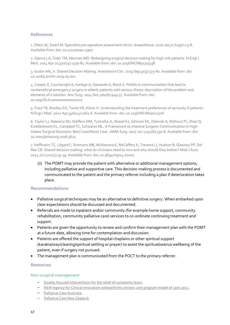# **References**

1. Dhesi JK, Swart M. Specialist pre-operative assessment clinics. Anaesthesia. 2016 Jan;71 Suppl 1:3-8. Available from: doi: 10.1111/anae.13307

2. Glance LG, Osler TM, Neuman MD. Redesigning surgical decision making for high-risk patients. N Engl J Med. 2014 Apr 10;370(15):1379-81. Available from: doi: 10.1056/NEJMp1315538

3. Gustin AN, Jr. Shared Decision-Making. Anesthesiol Clin. 2019 Sep;37(3):573-80. Available from: doi: 10.1016/j.anclin.2019.05.001

4. Cooper Z, Courtwright A, Karlage A, Gawande A, Block S. Pitfalls in communication that lead to nonbeneficial emergency surgery in elderly patients with serious illness: description of the problem and elements of a solution. Ann Surg. 2014 Dec;260(6):949-57. Available from: doi: 10.1097/SLA.0000000000000721

5. Fried TR, Bradley EH, Towle VR, Allore H. Understanding the treatment preferences of seriously ill patients. N Engl J Med. 2002 Apr;346(14):1061-6. Available from: doi: 10.1056/NEJMsa012528

6. Taylor LJ, Nabozny MJ, Steffens NM, Tucholka JL, Brasel KJ, Johnson SK, Zelenski A, Rathouz PJ, Zhao Q, Kwekkeboom KL, Campbell TC, Schwarze ML. A Framework to Improve Surgeon Communication in High-Stakes Surgical Decisions: Best Case/Worst Case. JAMA Surg. 2017 Jun 1;152(6):531-8. Available from: doi: 10.1001/jamasurg.2016.5674

7. Hoffmann TC, Légaré F, Simmons MB, McNamara K, McCaffery K, Trevena LJ, Hudson B, Glasziou PP, Del Mar CB. Shared decision making: what do clinicians need to now and why should they bother? Med J Aust. 2014 Jul 7;201(1):35-39. Available from: doi: 10.5694/mja14.00002

(ii) The POMT may provide the patient with alternative or additional management options, including palliative and supportive care. This decision-making process is documented and communicated to the patient and the primary referrer including a plan if deterioration takes place.

# **Recommendations**

- Palliative surgical techniques may be an alternative to definitive surgery. When embarked upon clear expectations should be discussed and documented.
- Referrals are made to inpatient and/or community (for example home support, community rehabilitation, community palliative care) services to co-ordinate continuing treatment and support.
- Patients are given the opportunity to review and confirm their management plan with the POMT at a future date, allowing time for contemplation and discussion.
- Patients are offered the support of hospital chaplains or other spiritual support (karakia/way/clearing/spiritual settling or prayer) to assist the spiritual/wairua wellbeing of the patient, even if surgery not pursued.
- The management plan is communicated from the POCT to the primary referrer.

#### **Resources**

# **Non-surgical management**

- [Quality focused interventions for the relief of symptoms team.](https://clinicalexcellence.qld.gov.au/improvement-exchange/quality-focused-interventions-relief-symptoms-team-qfirst)
- [NSW Agency for Clinical Innovation osteoarthritis chronic care program model of care 2012.](https://www.aci.health.nsw.gov.au/__data/assets/pdf_file/0003/165306/Osteoarthritis-Chronic-Care-Program-Mode-of-Care-High-Resolution.pdf)
- [Palliative Care Australia.](https://palliativecare.org.au/)
- [Palliative Care New Zealand.](https://www.health.govt.nz/our-work/life-stages/palliative-care)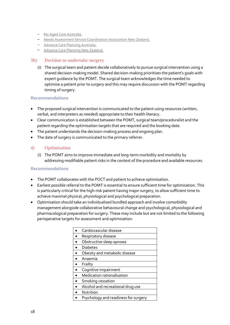- [My Aged Care Australia.](https://www.myagedcare.gov.au/)
- [Needs Assessment Service Coordination Association New Zealand.](https://www.nznasca.co.nz/)
- [Advance Care Planning Australia.](https://www.advancecareplanning.org.au/)
- [Advance Care Planning New Zealand.](https://www.hqsc.govt.nz/our-programmes/advance-care-planning/)

#### **3b) Decision to undertake surgery**

(i) The surgical team and patient decide collaboratively to pursue surgical intervention using a shared decision-making model. Shared decision-making prioritises the patient's goals with expert guidance by the POMT. The surgical team acknowledges the time needed to optimise a patient prior to surgery and this may require discussion with the POMT regarding timing of surgery.

# **Recommendations**

- The proposed surgical intervention is communicated to the patient using resources (written, verbal, and interpreters as needed) appropriate to their health literacy.
- Clear communication is established between the POMT, surgical team/proceduralist and the patient regarding the optimisation targets that are required and the booking date.
- The patient understands the decision-making process and ongoing plan.
- The date of surgery is communicated to the primary referrer.

# **4) Optimisation**

(i) The POMT aims to improve immediate and long-term morbidity and mortality by addressing modifiable patient risks in the context of the procedure and available resources.

- The POMT collaborates with the POCT and patient to achieve optimisation.
- Earliest possible referral to the POMT is essential to ensure sufficient time for optimisation. This is particularly critical for the high-risk patient having major surgery, to allow sufficient time to achieve maximal physical, physiological and psychological preparation.
- Optimisation should take an individualised bundled approach and involve comorbidity management alongside collaborative behavioural change and psychological, physiological and pharmacological preparation for surgery. These may include but are not limited to the following perioperative targets for assessment and optimisation:

| Cardiovascular disease               |
|--------------------------------------|
| Respiratory disease                  |
| Obstructive sleep apnoea             |
| <b>Diabetes</b>                      |
| Obesity and metabolic disease        |
| Anaemia                              |
| Frailty                              |
| Cognitive impairment                 |
| Medication rationalisation           |
| Smoking cessation                    |
| Alcohol and recreational drug use    |
| Nutrition                            |
| Psychology and readiness for surgery |
|                                      |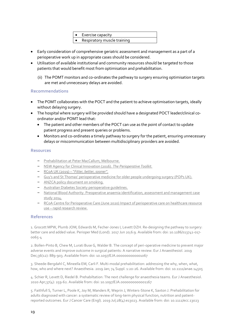| $\bullet$ | Exercise capacity           |
|-----------|-----------------------------|
|           | Respiratory muscle training |

- Early consideration of comprehensive geriatric assessment and management as a part of a perioperative work up in appropriate cases should be considered.
- Utilisation of available institutional and community resources should be targeted to those patients that would benefit most from optimisation and prehabilitation.
	- (ii) The POMT monitors and co-ordinates the pathway to surgery ensuring optimisation targets are met and unnecessary delays are avoided.

# **Recommendations**

- The POMT collaborates with the POCT and the patient to achieve optimisation targets, ideally without delaying surgery.
- The hospital where surgery will be provided should have a designated POCT leader/clinical coordinator and/or POMT lead that:
	- The patient and other members of the POCT can use as the point of contact to update patient progress and present queries or problems.
	- Monitors and co-ordinates a timely pathway to surgery for the patient, ensuring unnecessary delays or miscommunication between multidisciplinary providers are avoided.

#### **Resources**

- Prehabilitation [at Peter MacCallum, Melbourne.](https://www.petermac.org/services/treatment/prehabilitation)
- [NSW Agency for Clinical Innovation \(2016\).](https://www.aci.health.nsw.gov.au/__data/assets/pdf_file/0010/342685/The_Perioperative_Toolkit.pdf) *The Perioperative Toolkit.*
- RCoA UK (2019) "*[Fitter, better, sooner"](https://www.rcoa.ac.uk/patient-information/preparing-surgery-fitter-better-sooner).*
- Guy's and St Thomas' [perioperative medicine for older people undergoing surgery](https://www.guysandstthomas.nhs.uk/our-services/ageing-and-health/specialties/pops/overview.aspx) (POPs UK).
- [ANZCA policy document on smoking.](https://www.anzca.edu.au/patient-information/anaesthesia-information-for-patients-and-carers/anaesthesia-and-smoking)
- [Australian Diabetes Society perioperative guidelines.](https://diabetessociety.com.au/position-statements.asp)
- [National Blood Authority. Preoperative anaemia identification, assessment and management](https://www.blood.gov.au/system/files/documents/preoperative-anaemia-identification-assessment-and-management-case-study%20grey%20cover%20v4.pdf) case [study 2014.](https://www.blood.gov.au/system/files/documents/preoperative-anaemia-identification-assessment-and-management-case-study%20grey%20cover%20v4.pdf)
- [RCoA Centre for Perioperative Care \(June 2020\) Impact of perioperative care on healthcare resource](https://cpoc.org.uk/cpoc-publishes-major-evidence-review-impact-perioperative-care)  use – [rapid research review.](https://cpoc.org.uk/cpoc-publishes-major-evidence-review-impact-perioperative-care)

#### **References**

1. Grocott MPW, Plumb JOM, Edwards M, Fecher-Jones I, Levett DZH. Re-designing the pathway to surgery: better care and added value. Perioper Med (Lond). 2017 Jun 20;6:9. Available from: doi: 10.1186/s13741-017- 0065-4

2. Bollen-Pinto B, Chew M, Lurati Buse G, Walder B. The concept of peri-operative medicine to prevent major adverse events and improve outcome in surgical patients: A narrative review. Eur J Anaesthesiol. 2019 Dec;36(12): 889-903. Available from: doi: 10.1097/EJA.0000000000001067

3. Sheede-Bergdahl C, Mineella EM, Carli F. Multi-modal prehabilitation: addressing the why, when, what, how, who and where next? Anaesthesia. 2019 Jan; 74 Suppl. 1:20-26. Available from: doi: 10.1111/anae.14505

4. Schier R, Levett D, Riedel B. Prehabiltation: The next challenge for anaesthesia teams. Eur J Anaesthesiol. 2020 Apr;37(4): 259-62. Available from: doi: 10.1097/EJA.0000000000001167

5. Faithfull S, Turner L, Poole K, Joy M, Manders R, Weprin J, Winters-Stone K, Saxton J. Prehabilitation for adults diagnosed with cancer: a systematic review of long-term physical function, nutrition and patientreported outcomes. Eur J Cancer Care (Engl). 2019 Jul;28(4):e13023. Available from: doi: 10.1111/ecc.13023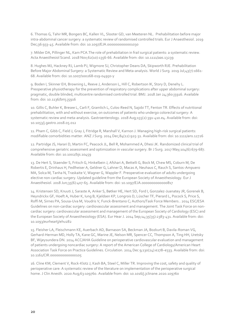6. Thomas G, Tahir MR, Bongers BC, Kallen VL, Slooter GD, van Meeteren NL. Prehabilitation before major intra-abdominal cancer surgery: a systematic review of randomised controlled trials. Eur J Anaesthesiol. 2019 Dec;36:933-45. Available from: doi: 10.1097/EJA.0000000000001030

7. Milder DA, Pillinger NL, Kam PCA.The role of prehabiliation in frail surgical patients: a systematic review. Acta Anaesthesiol Scand. 2018 Nov;62(10):1356-66. Available from: doi: 10.1111/aas.13239

8. Hughes MJ, Hackney RJ, Lamb PJ, Wigmore SJ, Christopher Deans DA, Skipworth RJE. Prehabilitation Before Major Abdominal Surgery: a Systematic Review and Meta-analysis[. World J Surg.](https://www.ncbi.nlm.nih.gov/pubmed/30788536) 2019 Jul;43(7):1661- 68. Available from: doi: 10.1007/s00268-019-04950-y

9. Boden I, Skinner EH, Browning L, Reeve J, Anderson L, Hill C, Robertson IK, Story D, Denehy L. Preoperative physiotherapy for the prevention of respiratory complications after upper abdominal surgery: pragmatic, double blinded, multicentre randomised controlled trial. BMJ. 2018 Jan 24;360:j5916. Available from: doi: 10.1136/bmj.j5916

10. Gillis C, Buhler K, Bresee L, Carli F, Gramlich L, Culos-Reed N, Sajobi TT, Fenton TR. Effects of nutritional prehabilitation, with and without exercise, on outcomes of patients who undergo colorectal surgery: A systematic review and meta-analysis. Gastroenterology. 2018 Aug;155(2):391-410.e4. Available from: doi: 10.1053/j.gastro.2018.05.012

11. Pham C, Gibb C, Field J, Gray J, Fitridge R, Marshall V, Karnon J. Managing high-risk surgical patients: modifiable comorbidities matter. ANZ J Surg. 2014 Dec;84(12):925-31. Available from: doi: 10.1111/ans.12726

12. Partridge JS, Harari D, Martin FC, Peacock JL, Bell R, Mohammed A, Dhesi JK. Randomized clinical trial of comprehensive geriatric assessment and optimization in vascular surgery[. Br J Surg.](https://www.ncbi.nlm.nih.gov/pubmed/28198997) 2017 May;104(6):679-687. Available from: doi: 10.1002/bjs.10459

13. De Hert S, Staender S, Fritsch G, Hinkelbein J, Afshari A, Bettelli G, Bock M, Chew MS, Coburn M, De Robertis E, Drinhaus H, Fedlheiser A, Geldner G, Lahner D, Macas A, Neuhaus C, Rauch S, Santos-Ampuero MA, Solca M, Tanha N, Traskaite V, Wagner G, Wappler F. Preoperative evaluation of adults undergoing elective non-cardiac surgery. Updated guideline from the European Society of Anaesthesiology. Eur J Anaesthesiol. 2018 Jun;35(6):407-65. Available from: doi: 10.1097/EJA.0000000000000817

14. Kristensen SD, Knuuti J, Saraste A, Anker S, Bøtker HE, Hert SD, Ford I, Gonzalez-Juanatey JR, Gorenek B, Heyndrickx GF, Hoeft A, Huber K, Iung B, Kjeldsen KP, Longrois D, Lüscher TF, Pierard L, Pocock S, Price S, Roffi M, Sirnes PA, Sousa-Uva M, Voudris V, Funck-Brentano C; Authors/Task Force Members.. 2014 ESC/ESA Guidelines on non-cardiac surgery: cardiovascular assessment and management. The Joint Task Force on noncardiac surgery: cardiovascular assessment and management of the European Society of Cardiology (ESC) and the European Society of Anaesthesiology (ESA). Eur Hear J. 2014 Sep;14;35(35):2383-431. Available from: doi: 10.1093/eurheartj/ehu282

15. Fleisher LA, Fleischmann KE, Auerbach AD, Barnason SA, Beckman JA, Bozkurt B, Davila-Roman VG, Gerhard-Herman MD, Holly TA, Kane GC, Marine JE, Nelson MR, Spencer CC, Thompson A, Ting HH, Uretsky BF, Wijeysundera DN. 2014 ACC/AHA Guideline on perioperative cardiovascular evaluation and management of patients undergoing noncardiac surgery: A report of the American College of Cardiology/American Heart Association Task Force on Practice Guidelines. Circulation. 2014 Dec 9;130(24):e278–e333. Available from: doi: 10.1161/CIR.0000000000000105

16. Cline KM, Clement V, Rock-Klotz J, Kash BA, Steel C, Miller TR. Improving the cost, safety and quality of perioperative care: A systematic review of the literature on implementation of the perioperative surgical home. J Clin Anesth. 2020 Aug;63:109760. Available from: doi: 10.1016/j.jclinane.2020.109760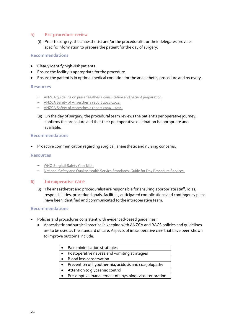# **5) Pre-procedure review**

(i) Prior to surgery, the anaesthetist and/or the proceduralist or their delegates provides specific information to prepare the patient for the day of surgery.

#### **Recommendations**

- Clearly identify high-risk patients.
- Ensure the facility is appropriate for the procedure.
- Ensure the patient is in optimal medical condition for the anaesthetic, procedure and recovery.

#### **Resources**

- [ANZCA guideline on pre-anaesthesia consultation and patient preparation.](https://www.anzca.edu.au/getattachment/d2c8053c-7e76-410e-93ce-3f9a56ffd881/PS07-Guideline-on-pre-anaesthesia-consultation-and-patient-preparation)
- [ANZCA Safety of Anaesthesia report 2012-2014.](https://www.anzca.edu.au/resources/incident-reporting-docs/safety-of-anaesthesia-(mortality)-reports/mortalityreport_2012-2014-(1))
- [ANZCA Safety of Anaesthesia report 2009](https://www.anzca.edu.au/resources/incident-reporting-docs/safety-of-anaesthesia-(mortality)-reports/safety-of-anaesthesia-report-2009-2011-(1))  2011.
- (ii) On the day of surgery, the procedural team reviews the patient's perioperative journey, confirms the procedure and that their postoperative destination is appropriate and available.

#### **Recommendations**

Proactive communication regarding surgical, anaesthetic and nursing concerns.

#### **Resources**

- [WHO Surgical Safety Checklist.](https://www.who.int/patientsafety/safesurgery/checklist/en/)
- [National Safety and Quality Health Service Standards: Guide for Day Procedure Services.](https://www.safetyandquality.gov.au/sites/default/files/migrated/National-Safety-and-Quality-Health-Service-Guide-for-Day-Procedure-Services.pdf)

#### **6) Intraoperative care**

(i) The anaesthetist and proceduralist are responsible for ensuring appropriate staff, roles, responsibilities, procedural goals, facilities, anticipated complications and contingency plans have been identified and communicated to the intraoperative team.

- Policies and procedures consistent with evidenced-based guidelines:
	- Anaesthetic and surgical practice in keeping with ANZCA and RACS policies and guidelines are to be used as the standard of care. Aspects of intraoperative care that have been shown to improve outcome include:

|  | Pain minimisation strategies |
|--|------------------------------|
|  |                              |

- Postoperative nausea and vomiting strategies
- Blood loss conservation
- Prevention of hypothermia, acidosis and coagulopathy
- Attention to glycaemic control
- Pre-emptive management of physiological deterioration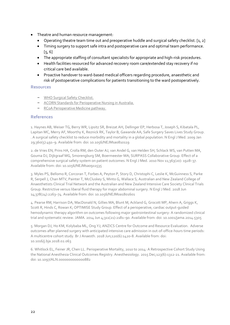- Theatre and human resource management:
	- Operating theatre team time out and preoperative huddle and surgical safety checklist. [1, 2]
	- Timing surgery to support safe intra and postoperative care and optimal team performance.  $[5, 6]$
	- The appropriate staffing of consultant specialists for appropriate and high-risk procedures.
	- Health facilities resourced for advanced recovery room care/extended stay recovery if no critical care bed available.
	- Proactive handover to ward-based medical officers regarding procedure, anaesthetic and risk of postoperative complications for patients transitioning to the ward postoperatively.

- [WHO Surgical Safety Checklist.](https://www.who.int/patientsafety/safesurgery/checklist/en/)
- [ACORN Standards for Perioperative Nursing in Australia.](https://www.acorn.org.au/standards)
- [RCoA Perioperative Medicine pathway.](https://www.rcoa.ac.uk/sites/default/files/documents/2019-08/Perioperative%20Medicine%20-%20The%20Pathway%20to%20Better%20Care.pdf)

#### **References**

1. Haynes AB, Weiser TG, Berry WR, Lipsitz SR, Breizat AH, Dellinger EP, Herbosa T, Joseph S, Kibatala PL, Lapitan MC, Merry AF, Moorthy K, Reznick RK, Taylor B, Gawande AA; Safe Surgery Saves Lives Study Group. . A surgical safety checklist to reduce morbidity and mortality in a global population. N Engl J Med. 2009 Jan 29;360(5):491–9. Available from: doi: 10.1056/NEJMsa0810119

2. de Vries EN, Prins HA, Crolla RM, den Outer AJ, van Andel G, van Helden SH, Schlack WS, van Putten MA, Gouma DJ, Dijkgraaf MG, Smorengburg SM, Boermeester MA; SURPASS Collaborative Group. Effect of a comprehensive surgical safety system on patient outcomes. N Engl J Med. 2010 Nov 11;363(20): 1928-37. Available from: doi: 10.1056/NEJMsa0911535

3. Myles PS, Bellomo R, Corcoran T, Forbes A, Peyton P, Story D, Christophi C, Leslie K, McGuinness S, Parke R, Serpell J, Chan MTV, Painter T, McCluskey S, Minto G, Wallace S; Australian and New Zealand College of Anaesthetists Clinical Trial Network and the Australian and New Zealand Intensive Care Society Clinical Trials Group. Restrictive versus liberal fluid therapy for major abdominal surgery. N Engl J Med. 2018 Jun 14;378(24):2263–74. Available from: doi: 10.1056/NEJMoa1801601

4. Pearse RM, Harrison DA, MacDonald N, Gillies MA, Blunt M, Ackland G, Grocott MP, Ahern A, Griggs K, Scott R, Hinds C, Rowan K; OPTIMISE Study Group. Effect of a perioperative, cardiac output-guided hemodynamic therapy algorithm on outcomes following major gastrointestinal surgery: A randomized clinical trial and systematic review. JAMA. 2014 Jun 4;311(21):2181–90. Available from: doi: 10.1001/jama.2014.5305

5. Morgan DJ, Ho KM, Kolybaba ML, Ong YJ; ANZICS Centre for Outcome and Resource Evaluation. Adverse outcomes after planned surgery with anticipated intensive care admission in out-of-office-hours time periods: A multicentre cohort study. Br J Anaesth. 2018 Jun;120(6):1420-8. Available from: doi: 10.1016/j.bja.2018.02.063

6. Whitlock EL, Feiner JR, Chen LL. Perioperative Mortality, 2010 to 2014: A Retrospective Cohort Study Using the National Anesthesia Clinical Outcomes Registry. Anesthesiology. 2015 Dec;123(6):1312-21. Available from: doi: 10.1097/ALN.0000000000000882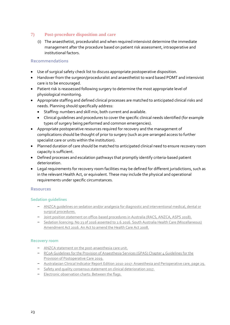# **7) Post-procedure disposition and care**

(i) The anaesthetist, proceduralist and when required intensivist determine the immediate management after the procedure based on patient risk assessment, intraoperative and institutional factors.

# **Recommendations**

- Use of surgical safety check list to discuss appropriate postoperative disposition.
- Handover from the surgeon/proceduralist and anaesthetist to ward based POMT and intensivist care is to be encouraged.
- Patient risk is reassessed following surgery to determine the most appropriate level of physiological monitoring.
- Appropriate staffing and defined clinical processes are matched to anticipated clinical risks and needs. Planning should specifically address:
	- Staffing: numbers and skill mix, both current and available.
	- Clinical guidelines and procedures to cover the specific clinical needs identified (for example types of surgery being performed and common emergencies).
- Appropriate postoperative resources required for recovery and the management of complications should be thought of prior to surgery (such as pre-arranged access to further specialist care or units within the institution).
- Planned duration of care should be matched to anticipated clinical need to ensure recovery room capacity is sufficient.
- Defined processes and escalation pathways that promptly identify criteria-based patient deterioration.
- Legal requirements for recovery room facilities may be defined for different jurisdictions, such as in the relevant Health Act, or equivalent. These may include the physical and operational requirements under specific circumstances.

# **Resources**

# **Sedation guidelines**

- ANZCA guidelines on sedation and/or analgesia [for diagnostic and interventional medical, dental or](https://www.anzca.edu.au/safety-advocacy/standards-of-practice/policies,-statements,-and-guidelines)  [surgical procedures.](https://www.anzca.edu.au/safety-advocacy/standards-of-practice/policies,-statements,-and-guidelines)
- [Joint position statement on office-based procedures in Australia \(RACS, ANZCA, ASPS 2018\).](https://www.surgeons.org/about-racs/position-papers/office-based-procedures-in-australia-2018)
- [Sedation licencing: No 23 of 2016 assented to 2.6.2016. South Australia Health Care \(Miscellaneous\)](https://www.legislation.sa.gov.au/LZ/V/A/2016/HEALTH%20CARE%20(MISCELLANEOUS)%20AMENDMENT%20ACT%202016_23/2016.23.UN.PDF)  [Amendment Act 2016. An Act to amend the Health Care Act 2008.](https://www.legislation.sa.gov.au/LZ/V/A/2016/HEALTH%20CARE%20(MISCELLANEOUS)%20AMENDMENT%20ACT%202016_23/2016.23.UN.PDF)

#### **Recovery room**

- [ANZCA statement on the post-anaesthesia care unit.](https://www.anzca.edu.au/safety-advocacy/standards-of-practice/policies,-statements,-and-guidelines)
- [RCoA Guidelines for the Provision of Anaesthesia Services \(GPAS\) Chapter 4 Guidelines for the](https://www.rcoa.ac.uk/gpas/chapter-4)  [Provision of Postoperative Care 2019.](https://www.rcoa.ac.uk/gpas/chapter-4)
- [Australasian Clinical Indicator Report Edition 2010-2017: Anaesthesia and Perioperative care, page 29.](https://www.achs.org.au/getmedia/6373fa55-fc61-43a6-887a-d7deb7ed6898/acir_2010-2017_19th.pdf)
- [Safety and quality consensus statement on clinical deterioration 2017.](https://www.safetyandquality.gov.au/sites/default/files/migrated/National-Consensus-Statement-clinical-deterioration_2017.pdf)
- [Electronic observation charts: Between the flags.](http://www.cec.health.nsw.gov.au/__data/assets/pdf_file/0011/258149/08_Fact-Sheet-Between-The-Flags-Enhancements-2016.pdf)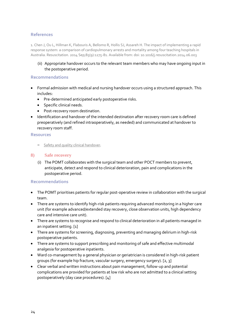# **References**

1. Chen J, Ou L, Hillman K, Flabouris A, Bellomo R, Hollis SJ, Assareh H. The impact of implementing a rapid response system: a comparison of cardiopulmonary arrests and mortality among four teaching hospitals in Australia. Resuscitation. 2014 Sep;85(9):1275-81. Available from: doi: 10.1016/j.resuscitation.2014.06.003

(ii) Appropriate handover occurs to the relevant team members who may have ongoing input in the postoperative period.

### **Recommendations**

- Formal admission with medical and nursing handover occurs using a structured approach. This includes:
	- Pre-determined anticipated early postoperative risks.
	- **•** Specific clinical needs.
	- Post-recovery room destination.
- Identification and handover of the intended destination after recovery room care is defined preoperatively (and refined intraoperatively, as needed) and communicated at handover to recovery room staff.

#### **Resources**

– [Safety and quality clinical handover.](https://www.safetyandquality.gov.au/our-work/communicating-safety/clinical-handover/ossie-guide-clinical-handover-improvement)

#### **8) Safe recovery**

(i) The POMT collaborates with the surgical team and other POCT members to prevent, anticipate, detect and respond to clinical deterioration, pain and complications in the postoperative period.

- The POMT prioritises patients for regular post-operative review in collaboration with the surgical team.
- There are systems to identify high-risk patients requiring advanced monitoring in a higher care unit (for example advanced/extended stay recovery, close observation units, high dependency care and intensive care unit).
- There are systems to recognise and respond to clinical deterioration in all patients managed in an inpatient setting. [1]
- There are systems for screening, diagnosing, preventing and managing delirium in high-risk postoperative patients.
- There are systems to support prescribing and monitoring of safe and effective multimodal analgesia for postoperative inpatients.
- Ward co-management by a general physician or geriatrician is considered in high-risk patient groups (for example hip fracture, vascular surgery, emergency surgery). [2, 3]
- Clear verbal and written instructions about pain management, follow-up and potential complications are provided for patients at low risk who are not admitted to a clinical setting postoperatively (day case procedures). [4]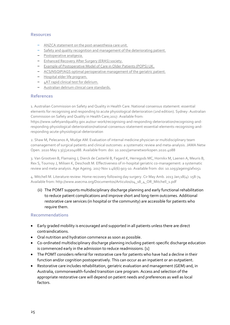- [ANZCA statement on the post-anaesthesia care unit.](https://www.anzca.edu.au/safety-advocacy/standards-of-practice/policies,-statements,-and-guidelines)
- [Safety and quality recognition and management of the deteriorating patient.](https://www.safetyandquality.gov.au/standards/nsqhs-standards/recognising-and-responding-acute-deterioration-standard/detecting-and-recognising-acute-deterioration-and-escalating-care)
- [Postoperative analgesia.](https://esraeurope.org/prospect/)
- [Enhanced Recovery After Surgery \(ERAS\) society.](https://erassociety.org/)
- [Example of Postoperative Model of Care in Older Patients \(POPS\) UK.](https://www.guysandstthomas.nhs.uk/our-services/ageing-and-health/specialties/pops/overview.aspx)
- [ACS/NSQIP/AGS optimal perioperative management of the geriatric patient.](https://www.facs.org/~/media/files/quality%20programs/geriatric/acs%20nsqip%20geriatric%202016%20guidelines.ashx)
- [Hospital elder life program.](https://help.agscocare.org/)
- [4AT rapid clinical test for delirium.](https://www.the4at.com/)
- [Australian delirium clinical care standards.](https://www.safetyandquality.gov.au/our-work/clinical-care-standards/delirium-clinical-care-standard)

#### **References**

1. Australian Commission on Safety and Quality in Health Care. National consensus statement: essential elements for recognising and responding to acute physiological deterioration (2nd edition). Sydney: Australian Commission on Safety and Quality in Health Care;2017. Available from:

[https://www.safetyandquality.gov.au/our-work/recognising-and-responding-deterioration/recognising-and](https://www.safetyandquality.gov.au/our-work/recognising-and-responding-deterioration/recognising-and-responding-physiological-deterioration/national-consensus-statement-essential-elements-recognising-and-responding-acute-physiological-deterioration)[responding-physiological-deterioration/national-consensus-statement-essential-elements-recognising-and](https://www.safetyandquality.gov.au/our-work/recognising-and-responding-deterioration/recognising-and-responding-physiological-deterioration/national-consensus-statement-essential-elements-recognising-and-responding-acute-physiological-deterioration)[responding-acute-physiological-deterioration](https://www.safetyandquality.gov.au/our-work/recognising-and-responding-deterioration/recognising-and-responding-physiological-deterioration/national-consensus-statement-essential-elements-recognising-and-responding-acute-physiological-deterioration)

2. Shaw M, Pelecanos A, Mudge AM. Evaluation of internal medicine physician or multidisciplinary team comanagement of surgical patients and clinical outcomes: a systematic review and meta-analysis. JAMA Netw Open. 2020 May 1:3(5);e204088. Available from: doi: 10.1001/jamanetworkopen.2020.4088

3. Van Grootven B, Flamaing J, Dierck de Casterlé B, Fagard K, Herregods MC, Hornikx M, Laenen A, Meuris B, Rex S, Tournoy J, Milisen K, Deschodt M. Effectiveness of in-hospital geriatric co-management: a systematic review and meta-analysis. Age Ageing. 2017 Nov 1:46(6):903-10. Available from: doi: 10.1093/ageing/afx051

4. Mitchell M. Literature review: Home recovery following day surgery. Cir May Amb. 2013 Jan;18(4): 158-74 Available from: http://www.asecma.org/Documentos/Articulos/04\_18\_4\_OR\_Mitchell\_1.pdf

(ii) The POMT supports multidisciplinary discharge planning and early functional rehabilitation to reduce patient complications and improve short and long-term outcomes. Additional restorative care services (in hospital or the community) are accessible for patients who require them.

- Early graded mobility is encouraged and supported in all patients unless there are direct contraindications.
- Oral nutrition and hydration commence as soon as possible.
- Co-ordinated multidisciplinary discharge planning including patient-specific discharge education is commenced early in the admission to reduce readmissions. [1]
- The POMT considers referral for restorative care for patients who have had a decline in their function and/or cognition postoperatively. This can occur as an inpatient or an outpatient.
- Restorative care includes rehabilitation, geriatric evaluation and management (GEM) and, in Australia, commonwealth-funded transition care program. Access and selection of the appropriate restorative care will depend on patient needs and preferences as well as local factors.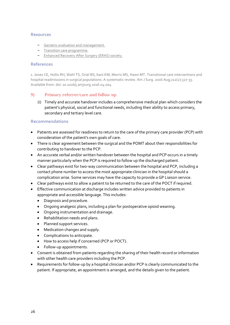- [Geriatric evaluation and management.](https://www.ihpa.gov.au/what-we-do/geriatric-evaluation-and-management-gem)
- [Transition care programme.](https://www.health.gov.au/initiatives-and-programs/transition-care-programme)
- [Enhanced Recovery After Surgery \(ERAS\) society.](https://erassociety.org/)

#### **References**

1. Jones CE, Hollis RH, Wahl TS, Oriel BS, Itani KM, Morris MS, Hawn MT. Transitional care interventions and hospital readmissions in surgical populations: A systematic review. Am J Surg. 2016 Aug;212(2):327-35. Available from: doi: 10.1016/j.amjsurg.2016.04.004

# **9) Primary referrer/care and follow up**

(i) Timely and accurate handover includes a comprehensive medical plan which considers the patient's physical, social and functional needs, including their ability to access primary, secondary and tertiary level care.

- Patients are assessed for readiness to return to the care of the primary care provider (PCP) with consideration of the patient's own goals of care.
- There is clear agreement between the surgical and the POMT about their responsibilities for contributing to handover to the PCP.
- An accurate verbal and/or written handover between the hospital and PCP occurs in a timely manner particularly when the PCP is required to follow up the discharged patient.
- Clear pathways exist for two-way communication between the hospital and PCP, including a contact phone number to access the most appropriate clinician in the hospital should a complication arise. Some services may have the capacity to provide a GP Liaison service.
- Clear pathways exist to allow a patient to be returned to the care of the POCT if required.
- Effective communication at discharge includes written advice provided to patients in appropriate and accessible language. This includes:
	- Diagnosis and procedure.
	- Ongoing analgesic plans, including a plan for postoperative opioid weaning.
	- Ongoing instrumentation and drainage.
	- Rehabilitation needs and plans.
	- Planned support services.
	- Medication changes and supply.
	- Complications to anticipate.
	- How to access help if concerned (PCP or POCT).
	- Follow-up appointments.
- Consent is obtained from patients regarding the sharing of their health record or information with other health care providers including the PCP.
- Requirements for follow-up by a hospital clinician and/or PCP is clearly communicated to the patient. If appropriate, an appointment is arranged, and the details given to the patient.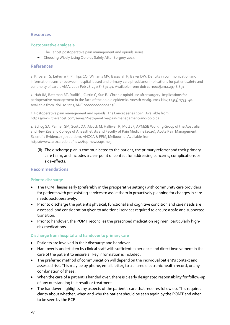#### **Postoperative analgesia**

- [The Lancet postoperative pain management and opioids series.](https://www.thelancet.com/series/Postoperative-pain-management-and-opioids)
- [Choosing Wisely Using Opioids Safely After Surgery 2017.](http://www.choosingwisely.org/patient-resources/using-opioids-safely-after-surgery/)

#### **References**

1. Kripalani S, LeFevre F, Phillips CO, Williams MV, Basaviah P, Baker DW. Deficits in communication and information transfer between hospital-based and primary care physicians: implications for patient safety and continuity of care. JAMA. 2007 Feb 28;297(8):831-41. Available from: doi: 10.1001/jama.297.8.831

2. Hah JM, Bateman BT, Ratliff J, Curtin C, Sun E. Chronic opioid use after surgery: Implications for perioperative management in the face of the opioid epidemic. Anesth Analg. 2017 Nov;125(5):1733–40. Available from: doi: 10.1213/ANE.0000000000002458

3. Postoperative pain management and opioids. The Lancet series 2019. Available from: <https://www.thelancet.com/series/Postoperative-pain-management-and-opioids>

4. Schug SA, Palmer GM, Scott DA, Alcock M, Halliwell R, Mott JF; APM:SE Working Group of the Australian and New Zealand College of Anaesthetists and Faculty of Pain Medicine (2020), Acute Pain Management: Scientific Evidence (5th edition), ANZCA & FPM, Melbourne. Available from: <https://www.anzca.edu.au/news/top-news/apsme5>

(ii) The discharge plan is communicated to the patient, the primary referrer and their primary care team, and includes a clear point of contact for addressing concerns, complications or side-effects.

# **Recommendations**

#### **Prior to discharge**

- The POMT liaises early (preferably in the preoperative setting) with community care providers for patients with pre-existing services to assist them in proactively planning for changes in care needs postoperatively.
- Prior to discharge the patient's physical, functional and cognitive condition and care needs are assessed, and consideration given to additional services required to ensure a safe and supported transition.
- Prior to handover, the POMT reconciles the prescribed medication regimen, particularly highrisk medications.

# **Discharge from hospital and handover to primary care**

- Patients are involved in their discharge and handover.
- Handover is undertaken by clinical staff with sufficient experience and direct involvement in the care of the patient to ensure all key information is included.
- The preferred method of communication will depend on the individual patient's context and assessed risk. This may be by phone, email, letter, to a shared electronic health record, or any combination of these.
- When the care of a patient is handed over, there is clearly designated responsibility for follow-up of any outstanding test result or treatment.
- The handover highlights any aspects of the patient's care that requires follow up. This requires clarity about whether, when and why the patient should be seen again by the POMT and when to be seen by the PCP.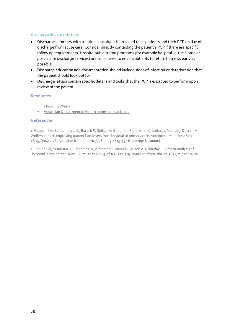## **Discharge documentation**

- Discharge summary with treating consultant is provided to all patients and their PCP on day of discharge from acute care. Consider directly contacting the patient's PCP if there are specific follow up requirements. Hospital substitution programs (for example hospital-in-the-home or post-acute discharge services) are considered to enable patients to return home as early as possible.
- Discharge education and documentation should include signs of infection or deterioration that the patient should look out for.
- Discharge letters contain specific details and tasks that the PCP is expected to perform upon review of the patient.

#### **Resources**

- [Choosing Wisely.](https://www.choosingwisely.org.au/)
- [Australian Department of Health home care packages.](https://www.health.gov.au/initiatives-and-programs/home-care-packages-program)

#### **References**

1. Hesselink G, Schoonhoven L, Barach P, Spijker A, Gademan P, Kalkman C, Liefers J, Vernooij-Dassen M, Wollersheim H. Improving patient handovers from hospital to primary care. Ann Intern Med. 2012 Sep 18;157(6):417-28. Available from: doi: 10.7326/0003-4819-157-6-201209180-00006

2. Caplan GA, Sulaiman NS, Mangin DA, Aimonino Ricauda N, Wilson AD, Barclay L. A meta-analysis of "hospital in the home". Med J Aust. 2012 Nov 5; 197(9):512-519. Available from: doi: 10.5694/mja12.10480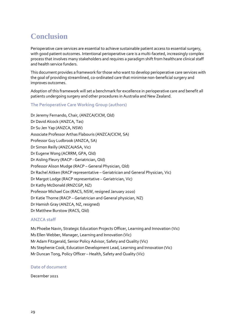# <span id="page-28-0"></span>**Conclusion**

Perioperative care services are essential to achieve sustainable patient access to essential surgery, with good patient outcomes. Intentional perioperative care is a multi-faceted, increasingly complex process that involves many stakeholders and requires a paradigm shift from healthcare clinical staff and health service funders.

This document provides a framework for those who want to develop perioperative care services with the goal of providing streamlined, co-ordinated care that minimise non-beneficial surgery and improves outcomes.

Adoption of this framework will set a benchmark for excellence in perioperative care and benefit all patients undergoing surgery and other procedures in Australia and New Zealand.

# **The Perioperative Care Working Group (authors)**

Dr Jeremy Fernando, Chair, (ANZCA/CICM, Qld) Dr David Alcock (ANZCA, Tas) Dr Su Jen Yap (ANZCA, NSW) Associate Professor Arthas Flabouris (ANZCA/CICM, SA) Professor Guy Ludbrook (ANZCA, SA) Dr Simon Reilly (ANZCA/ASA, Vic) Dr Eugene Wong (ACRRM, GPA, Qld) Dr Aisling Fleury (RACP - Geriatrician, Qld) Professor Alison Mudge (RACP – General Physician, Qld) Dr Rachel Aitken (RACP representative – Geriatrician and General Physician, Vic) Dr Margot Lodge (RACP representative – Geriatrician, Vic) Dr Kathy McDonald (RNZCGP, NZ) Professor Michael Cox (RACS, NSW, resigned January 2020) Dr Katie Thorne (RACP – Geriatrician and General physician, NZ) Dr Hamish Gray (ANZCA, NZ, resigned) Dr Matthew Burstow (RACS, Qld)

# **ANZCA staff**

Ms Phoebe Navin, Strategic Education Projects Officer, Learning and Innovation (Vic) Ms Ellen Webber, Manager, Learning and Innovation (Vic) Mr Adam Fitzgerald, Senior Policy Advisor, Safety and Quality (Vic) Ms Stephenie Cook, Education Development Lead, Learning and Innovation (Vic) Mr Duncan Tong, Policy Officer – Health, Safety and Quality (Vic)

#### **Date of document**

December 2021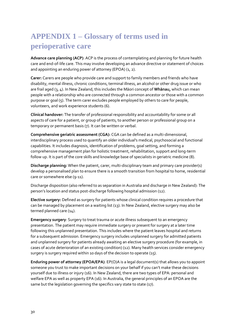# <span id="page-29-0"></span>**APPENDIX 1 – Glossary of terms used in perioperative care**

**Advance care planning (ACP)**: ACP is the process of contemplating and planning for future health care and end-of-life care. This may involve developing an advance directive or statement of choices and appointing an enduring power of attorney (EPOA) (1, 2).

**Carer:** Carers are people who provide care and support to family members and friends who have disability, mental illness, chronic conditions, terminal illness, an alcohol or other drug issue or who are frail aged (3, 4). In New Zealand, this includes the Māori concept of **Whānau,** which can mean people with a relationship who are connected through a common ancestor or those with a common purpose or goal (5). The term carer excludes people employed by others to care for people, volunteers, and work experience students (6).

**Clinical handover:** The transfer of professional responsibility and accountability for some or all aspects of care for a patient, or group of patients, to another person or professional group on a temporary or permanent basis (7). It can be written or verbal.

**Comprehensive geriatric assessment (CGA):** CGA can be defined as a multi-dimensional, interdisciplinary process used to quantify an older individual's medical, psychosocial and functional capabilities. It includes diagnosis, identification of problems, goal setting, and forming a comprehensive management plan for holistic treatment, rehabilitation, support and long-term follow up. It is part of the core skills and knowledge base of specialists in geriatric medicine (8).

**Discharge planning:** When the patient, carer, multi-disciplinary team and primary care provider(s) develop a personalised plan to ensure there is a smooth transition from hospital to home, residential care or somewhere else (9-11).

Discharge disposition (also referred to as separation in Australia and discharge in New Zealand): The person's location and status post-discharge following hospital admission (12).

**Elective surgery:** Defined as surgery for patients whose clinical condition requires a procedure that can be managed by placement on a waiting list (13). In New Zealand, elective surgery may also be termed planned care (14).

**Emergency surgery**: Surgery to treat trauma or acute illness subsequent to an emergency presentation. The patient may require immediate surgery or present for surgery at a later time following this unplanned presentation. This includes where the patient leaves hospital and returns for a subsequent admission. Emergency surgery includes unplanned surgery for admitted patients and unplanned surgery for patients already awaiting an elective surgery procedure (for example, in cases of acute deterioration of an existing condition) (12). Many health services consider emergency surgery is surgery required within 10 days of the decision to operate (15).

**Enduring power of attorney (EPOA/EPA)**: EP(O)A is a legal document(s) that allows you to appoint someone you trust to make important decisions on your behalf if you can't make these decisions yourself due to illness or injury (16). In New Zealand, there are two types of EPA: personal and welfare EPA as well as property EPA (16). In Australia, the general principles of an EPOA are the same but the legislation governing the specifics vary state to state (17).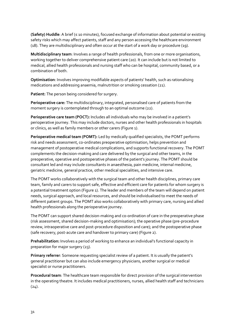**(Safety) Huddle**: A brief (≤ 10 minutes), focused exchange of information about potential or existing safety risks which may affect patients, staff and any person accessing the healthcare environment (18). They are multidisciplinary and often occur at the start of a work day or procedure (19).

**Multidisciplinary team**: Involves a range of health professionals, from one or more organisations, working together to deliver comprehensive patient care (20). It can include but is not limited to medical, allied health professionals and nursing staff who can be hospital, community based, or a combination of both.

**Optimisation**: Involves improving modifiable aspects of patients' health, such as rationalising medications and addressing anaemia, malnutrition or smoking cessation (21).

**Patient:** The person being considered for surgery.

**Perioperative care:** The multidisciplinary, integrated, personalised care of patients from the moment surgery is contemplated through to an optimal outcome (22).

**Perioperative care team (POCT):** Includes all individuals who may be involved in a patient's perioperative journey. This may include doctors, nurses and other health professionals in hospitals or clinics, as well as family members or other carers (Figure 1).

**Perioperative medical team (POMT):** Led by medically qualified specialists, the POMT performs risk and needs assessment, co-ordinates preoperative optimisation, helps prevention and management of postoperative medical complications, and supports functional recovery. The POMT complements the decision-making and care delivered by the surgical and other teams, in the preoperative, operative and postoperative phases of the patient's journey. The POMT should be consultant led and may include consultants in anaesthesia, pain medicine, internal medicine, geriatric medicine, general practice, other medical specialities, and intensive care.

The POMT works collaboratively with the surgical team and other health disciplines, primary care team, family and carers to support safe, effective and efficient care for patients for whom surgery is a potential treatment option (Figure 1). The leader and members of the team will depend on patient needs, surgical approach, and local resources, and should be individualised to meet the needs of different patient groups. The POMT also works collaboratively with primary care, nursing and allied health professionals along the perioperative journey.

The POMT can support shared decision-making and co-ordination of care in the preoperative phase (risk assessment, shared decision-making and optimisation); the operative phase (pre-procedure review, intraoperative care and post-procedure disposition and care); and the postoperative phase (safe recovery, post-acute care and handover to primary care) (Figure 2).

**Prehabilitation:** Involves a period of working to enhance an individual's functional capacity in preparation for major surgery (23).

**Primary referrer**: Someone requesting specialist review of a patient. It is usually the patient's general practitioner but can also include emergency physicians, another surgical or medical specialist or nurse practitioners.

**Procedural team**: The healthcare team responsible for direct provision of the surgical intervention in the operating theatre. It includes medical practitioners, nurses, allied health staff and technicians  $(24)$ .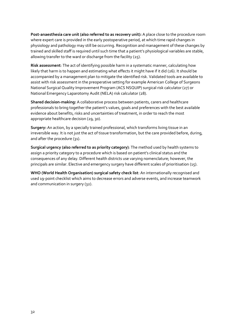**Post-anaesthesia care unit (also referred to as recovery unit):** A place close to the procedure room where expert care is provided in the early postoperative period, at which time rapid changes in physiology and pathology may still be occurring. Recognition and management of these changes by trained and skilled staff is required until such time that a patient's physiological variables are stable, allowing transfer to the ward or discharge from the facility (25).

**Risk assessment**: The act of identifying possible harm in a systematic manner, calculating how likely that harm is to happen and estimating what effects it might have if it did (26). It should be accompanied by a management plan to mitigate the identified risk. Validated tools are available to assist with risk assessment in the preoperative setting for example American College of Surgeons National Surgical Quality Improvement Program (ACS NSQUIP) surgical risk calculator (27) or National Emergency Laparotomy Audit (NELA) risk calculator (28).

**Shared decision-making:** A collaborative process between patients, carers and healthcare professionals to bring together the patient's values, goals and preferences with the best available evidence about benefits, risks and uncertainties of treatment, in order to reach the most appropriate healthcare decision (29, 30).

**Surgery:** An action, by a specially trained professional, which transforms living tissue in an irreversible way. It is not just the act of tissue transformation, but the care provided before, during, and after the procedure (31).

**Surgical urgency (also referred to as priority category)**: The method used by health systems to assign a priority category to a procedure which is based on patient's clinical status and the consequences of any delay. Different health districts use varying nomenclature; however, the principals are similar. Elective and emergency surgery have different scales of prioritisation (15).

**WHO (World Health Organisation) surgical safety check list**: An internationally recognised and used 19-point checklist which aims to decrease errors and adverse events, and increase teamwork and communication in surgery (32).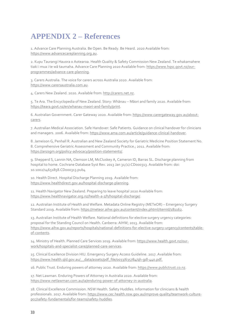# <span id="page-32-0"></span>**APPENDIX 2 – References**

1. Advance Care Planning Australia. Be Open. Be Ready. Be Heard. 2020 Available from: [https://www.advancecareplanning.org.au.](https://www.advancecareplanning.org.au/)

2. Kupu Taurangi Hauora o Aotearoa. Health Quality & Safety Commission New Zealand. Te whakamahere tiaki i mua i te wā taumaha. Advance Care Planning 2020 Available from: [https://www.hqsc.govt.nz/our](https://www.hqsc.govt.nz/our-programmes/advance-care-planning)[programmes/advance-care-planning.](https://www.hqsc.govt.nz/our-programmes/advance-care-planning)

3. Carers Australia. The voice for carers across Australia 2020. Available from: [https://www.carersaustralia.com.au.](https://www.carersaustralia.com.au/)

4. Carers New Zealand. 2020. Available from: [http://carers.net.nz.](http://carers.net.nz/)

5. Te Ara. The Encyclopedia of New Zealand. Story: Whānau – Māori and family 2020. Available from: [https://teara.govt.nz/en/whanau-maori-and-family/print.](https://teara.govt.nz/en/whanau-maori-and-family/print)

6. Australian Government. Carer Gateway 2020. Available from[: https://www.carergateway.gov.au/about](https://www.carergateway.gov.au/about-carers)[carers.](https://www.carergateway.gov.au/about-carers)

7. Australian Medical Association. Safe Handover: Safe Patients. Guidance on clinical handover for clinicians and managers. 2006. Available from[: https://www.ama.com.au/article/guidance-clinical-handover.](https://www.ama.com.au/article/guidance-clinical-handover)

8. Jameison G, Penhall R. Australian and New Zealand Society for Geriatric Medicine Position Statement No. 8. Comprehensive Geriatric Assessment and Community Practice.; 2011. Available from: [https://anzsgm.org/policy-advocacy/position-statements/.](https://anzsgm.org/policy-advocacy/position-statements/)

9. Shepperd S, Lannin NA, Clemson LM, McCluskey A, Cameron ID, Barras SL. Discharge planning from hospital to home. Cochrane Database Syst Rev. 2013 Jan 31;(1):CD000313. Available from: doi: 10.1002/14651858.CD000313.pub4

10. Health Direct. Hospital Discharge Planning 2019. Available from: [https://www.healthdirect.gov.au/hospital-discharge-planning.](https://www.healthdirect.gov.au/hospital-discharge-planning)

11. Health Navigator New Zealand. Preparing to leave hospital 2020 Available from: [https://www.healthnavigator.org.nz/health-a-z/h/hospital-discharge/.](https://www.healthnavigator.org.nz/health-a-z/h/hospital-discharge/)

12. Australian Institute of Health and Welfare. Metadata Online Registry (METeOR) – Emergency Surgery Standard 2019. Available from: [https://meteor.aihw.gov.au/content/index.phtml/itemId/181162.](https://meteor.aihw.gov.au/content/index.phtml/itemId/181162)

13. Australian Institute of Health Welfare. National definitions for elective surgery urgency categories: proposal for the Standing Council on Health. Canberra: AIHW; 2013. Available from: [https://www.aihw.gov.au/reports/hospitals/national-definitions-for-elective-surgery-urgency/contents/table](https://www.aihw.gov.au/reports/hospitals/national-definitions-for-elective-surgery-urgency/contents/table-of-contents)[of-contents.](https://www.aihw.gov.au/reports/hospitals/national-definitions-for-elective-surgery-urgency/contents/table-of-contents)

14. Ministry of Health. Planned Care Services 2019. Available from: [https://www.health.govt.nz/our](https://www.health.govt.nz/our-work/hospitals-and-specialist-care/planned-care-services)[work/hospitals-and-specialist-care/planned-care-services.](https://www.health.govt.nz/our-work/hospitals-and-specialist-care/planned-care-services)

15. Clinical Excellence Division HIU. Emergency Surgery Access Guideline. 2017. Available from: [https://www.health.qld.gov.au/\\_\\_data/assets/pdf\\_file/0033/635784/qh-gdl-440.pdf.](https://www.health.qld.gov.au/__data/assets/pdf_file/0033/635784/qh-gdl-440.pdf)

16. Public Trust. Enduring powers of attorney 2020. Available from: [https://www.publictrust.co.nz.](https://www.publictrust.co.nz/)

17. Net Lawman. Enduring Powers of Attorney in Australia 2020. Available from: [https://www.netlawman.com.au/ia/enduring-power-of-attorney-in-australia.](https://www.netlawman.com.au/ia/enduring-power-of-attorney-in-australia)

18. Clinical Excellence Commission. NSW Health. Safety Huddles. Information for clinicians & health professionals. 2017. Available from: [https://www.cec.health.nsw.gov.au/improve-quality/teamwork-culture](https://www.cec.health.nsw.gov.au/improve-quality/teamwork-culture-pcc/safety-fundamentals/for-teams/safety-huddles)[pcc/safety-fundamentals/for-teams/safety-huddles.](https://www.cec.health.nsw.gov.au/improve-quality/teamwork-culture-pcc/safety-fundamentals/for-teams/safety-huddles)